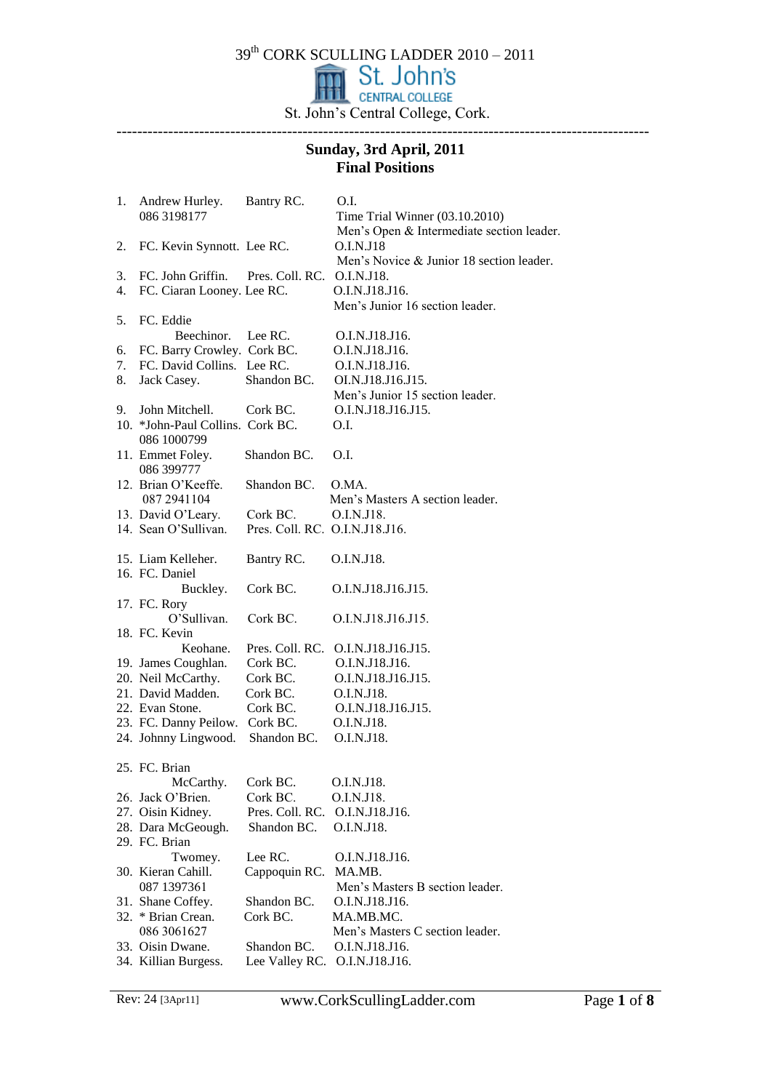39<sup>th</sup> CORK SCULLING LADDER 2010 – 2011

St. John's Central College, Cork. -------------------------------------------------------------------------------------------------------

# **Sunday, 3rd April, 2011 Final Positions**

| 1. | Andrew Hurley.<br>086 3198177    | Bantry RC.                     | O.I.<br>Time Trial Winner (03.10.2010)<br>Men's Open & Intermediate section leader. |
|----|----------------------------------|--------------------------------|-------------------------------------------------------------------------------------|
| 2. | FC. Kevin Synnott. Lee RC.       |                                | O.I.N.J18<br>Men's Novice & Junior 18 section leader.                               |
| 3. | FC. John Griffin.                | Pres. Coll. RC.                | O.I.N.J18.                                                                          |
| 4. | FC. Ciaran Looney. Lee RC.       |                                | O.I.N.J18.J16.                                                                      |
|    |                                  |                                | Men's Junior 16 section leader.                                                     |
| 5. | FC. Eddie                        |                                |                                                                                     |
|    | Beechinor. Lee RC.               |                                | O.I.N.J18.J16.                                                                      |
| 6. | FC. Barry Crowley. Cork BC.      |                                | O.I.N.J18.J16.                                                                      |
| 7. | FC. David Collins. Lee RC.       |                                | O.I.N.J18.J16.                                                                      |
| 8. | Jack Casey.                      | Shandon BC.                    | OI.N.J18.J16.J15.                                                                   |
|    |                                  |                                | Men's Junior 15 section leader.                                                     |
| 9. | John Mitchell.                   | Cork BC.                       | O.I.N.J18.J16.J15.                                                                  |
|    | 10. *John-Paul Collins. Cork BC. |                                | O.I.                                                                                |
|    | 086 1000799                      |                                |                                                                                     |
|    | 11. Emmet Foley.<br>086 399777   | Shandon BC.                    | O.I.                                                                                |
|    | 12. Brian O'Keeffe.              | Shandon BC.                    | O.MA.                                                                               |
|    | 087 2941104                      |                                | Men's Masters A section leader.                                                     |
|    | 13. David O'Leary.               | Cork BC.                       | O.I.N.J18.                                                                          |
|    | 14. Sean O'Sullivan.             | Pres. Coll. RC. O.I.N.J18.J16. |                                                                                     |
|    |                                  |                                |                                                                                     |
|    | 15. Liam Kelleher.               | Bantry RC.                     | O.I.N.J18.                                                                          |
|    | 16. FC. Daniel                   |                                |                                                                                     |
|    | Buckley.                         | Cork BC.                       | O.I.N.J18.J16.J15.                                                                  |
|    | 17. FC. Rory                     |                                |                                                                                     |
|    | O'Sullivan.                      | Cork BC.                       | O.I.N.J18.J16.J15.                                                                  |
|    | 18. FC. Kevin                    |                                |                                                                                     |
|    | Keohane.                         |                                | Pres. Coll. RC. O.I.N.J18.J16.J15.                                                  |
|    | 19. James Coughlan.              | Cork BC.                       | O.I.N.J18.J16.                                                                      |
|    | 20. Neil McCarthy.               | Cork BC.                       | O.I.N.J18.J16.J15.                                                                  |
|    | 21. David Madden.                | Cork BC.                       | O.I.N.J18.                                                                          |
|    | 22. Evan Stone.                  | Cork BC.                       | O.I.N.J18.J16.J15.                                                                  |
|    | 23. FC. Danny Peilow. Cork BC.   |                                | O.I.N.J18.                                                                          |
|    | 24. Johnny Lingwood.             | Shandon BC.                    | O.I.N.J18.                                                                          |
|    | 25. FC. Brian                    |                                |                                                                                     |
|    | McCarthy.                        | Cork BC.                       | O.I.N.J18.                                                                          |
|    | 26. Jack O'Brien.                | Cork BC.                       | O.I.N.J18.                                                                          |
|    | 27. Oisin Kidney.                | Pres. Coll. RC.                | O.I.N.J18.J16.                                                                      |
|    | 28. Dara McGeough.               | Shandon BC.                    | O.I.N.J18.                                                                          |
|    | 29. FC. Brian                    |                                |                                                                                     |
|    | Twomey.                          | Lee RC.                        | O.I.N.J18.J16.                                                                      |
|    | 30. Kieran Cahill.               | Cappoquin RC.                  | MA.MB.                                                                              |
|    | 087 1397361                      |                                | Men's Masters B section leader.                                                     |
|    | 31. Shane Coffey.                | Shandon BC.                    | O.I.N.J18.J16.                                                                      |
|    | 32. * Brian Crean.               | Cork BC.                       | MA.MB.MC.                                                                           |
|    | 086 3061627                      |                                | Men's Masters C section leader.                                                     |
|    | 33. Oisin Dwane.                 | Shandon BC.                    | O.I.N.J18.J16.                                                                      |
|    | 34. Killian Burgess.             | Lee Valley RC.                 | O.I.N.J18.J16.                                                                      |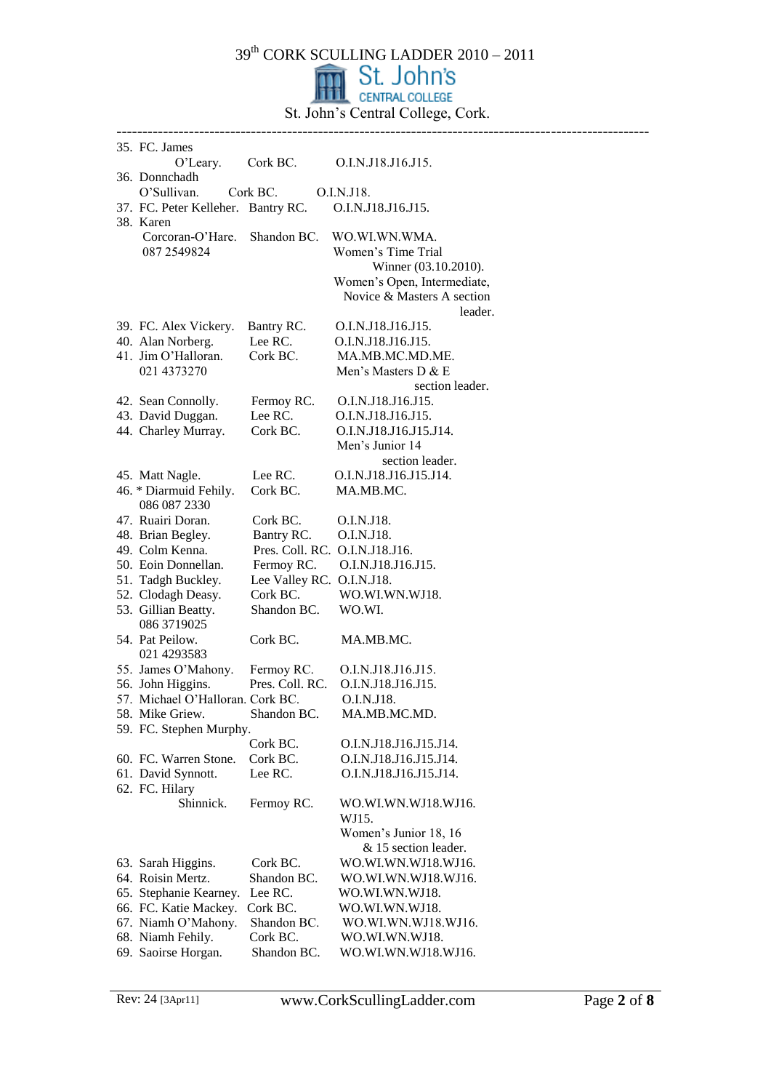|  | 35. FC. James                                   |                           |                                       |  |
|--|-------------------------------------------------|---------------------------|---------------------------------------|--|
|  | $O'$ Leary.                                     | Cork BC.                  | O.I.N.J18.J16.J15.                    |  |
|  | 36. Donnchadh                                   |                           |                                       |  |
|  | O'Sullivan.                                     | Cork BC.                  | O.I.N.J18.                            |  |
|  | 37. FC. Peter Kelleher. Bantry RC.<br>38. Karen |                           | O.I.N.J18.J16.J15.                    |  |
|  | Corcoran-O'Hare.                                | Shandon BC.               | WO.WI.WN.WMA.                         |  |
|  | 087 2549824                                     |                           | Women's Time Trial                    |  |
|  |                                                 |                           | Winner (03.10.2010).                  |  |
|  |                                                 |                           | Women's Open, Intermediate,           |  |
|  |                                                 |                           | Novice & Masters A section            |  |
|  |                                                 |                           | leader.                               |  |
|  | 39. FC. Alex Vickery.                           | Bantry RC.                | O.I.N.J18.J16.J15.                    |  |
|  | 40. Alan Norberg.                               | Lee RC.                   | O.I.N.J18.J16.J15.                    |  |
|  | 41. Jim O'Halloran.                             | Cork BC.                  | MA.MB.MC.MD.ME.                       |  |
|  | 021 4373270                                     |                           | Men's Masters D & E                   |  |
|  | 42. Sean Connolly.                              | Fermoy RC.                | section leader.<br>O.I.N.J18.J16.J15. |  |
|  | 43. David Duggan.                               | Lee RC.                   | O.I.N.J18.J16.J15.                    |  |
|  | 44. Charley Murray.                             | Cork BC.                  | O.I.N.J18.J16.J15.J14.                |  |
|  |                                                 |                           | Men's Junior 14                       |  |
|  |                                                 |                           | section leader.                       |  |
|  | 45. Matt Nagle.                                 | Lee RC.                   | O.I.N.J18.J16.J15.J14.                |  |
|  | 46. * Diarmuid Fehily.                          | Cork BC.                  | MA.MB.MC.                             |  |
|  | 086 087 2330                                    |                           |                                       |  |
|  | 47. Ruairi Doran.                               | Cork BC.                  | O.I.N.J18.                            |  |
|  | 48. Brian Begley.                               | Bantry RC.                | O.I.N.J18.                            |  |
|  | 49. Colm Kenna.                                 |                           | Pres. Coll. RC. O.I.N.J18.J16.        |  |
|  | 50. Eoin Donnellan.                             | Fermoy RC.                | O.I.N.J18.J16.J15.                    |  |
|  | 51. Tadgh Buckley.                              | Lee Valley RC. O.I.N.J18. |                                       |  |
|  | 52. Clodagh Deasy.                              | Cork BC.                  | WO.WI.WN.WJ18.                        |  |
|  | 53. Gillian Beatty.                             | Shandon BC.               | WO.WI.                                |  |
|  | 086 3719025                                     |                           |                                       |  |
|  | 54. Pat Peilow.<br>021 4293583                  | Cork BC.                  | MA.MB.MC.                             |  |
|  | 55. James O'Mahony.                             | Fermoy RC.                | O.I.N.J18.J16.J15.                    |  |
|  | 56. John Higgins.                               | Pres. Coll. RC.           | O.I.N.J18.J16.J15.                    |  |
|  | 57. Michael O'Halloran. Cork BC.                |                           | O.I.N.J18.                            |  |
|  | 58. Mike Griew.                                 | Shandon BC.               | MA.MB.MC.MD.                          |  |
|  | 59. FC. Stephen Murphy.                         |                           |                                       |  |
|  |                                                 | Cork BC.                  | O.I.N.J18.J16.J15.J14.                |  |
|  | 60. FC. Warren Stone.                           | Cork BC.                  | O.I.N.J18.J16.J15.J14.                |  |
|  | 61. David Synnott.                              | Lee RC.                   | O.I.N.J18.J16.J15.J14.                |  |
|  | 62. FC. Hilary                                  |                           |                                       |  |
|  | Shinnick.                                       | Fermoy RC.                | WO.WI.WN.WJ18.WJ16.                   |  |
|  |                                                 |                           | WJ15.                                 |  |
|  |                                                 |                           | Women's Junior 18, 16                 |  |
|  |                                                 |                           | & 15 section leader.                  |  |
|  | 63. Sarah Higgins.<br>64. Roisin Mertz.         | Cork BC.<br>Shandon BC.   | WO.WI.WN.WJ18.WJ16.                   |  |
|  | 65. Stephanie Kearney.                          | Lee RC.                   | WO.WI.WN.WJ18.WJ16.<br>WO.WI.WN.WJ18. |  |
|  | 66. FC. Katie Mackey.                           | Cork BC.                  | WO.WI.WN.WJ18.                        |  |
|  | 67. Niamh O'Mahony.                             | Shandon BC.               | WO.WI.WN.WJ18.WJ16.                   |  |
|  | 68. Niamh Fehily.                               | Cork BC.                  | WO.WI.WN.WJ18.                        |  |
|  | 69. Saoirse Horgan.                             | Shandon BC.               | WO.WI.WN.WJ18.WJ16.                   |  |
|  |                                                 |                           |                                       |  |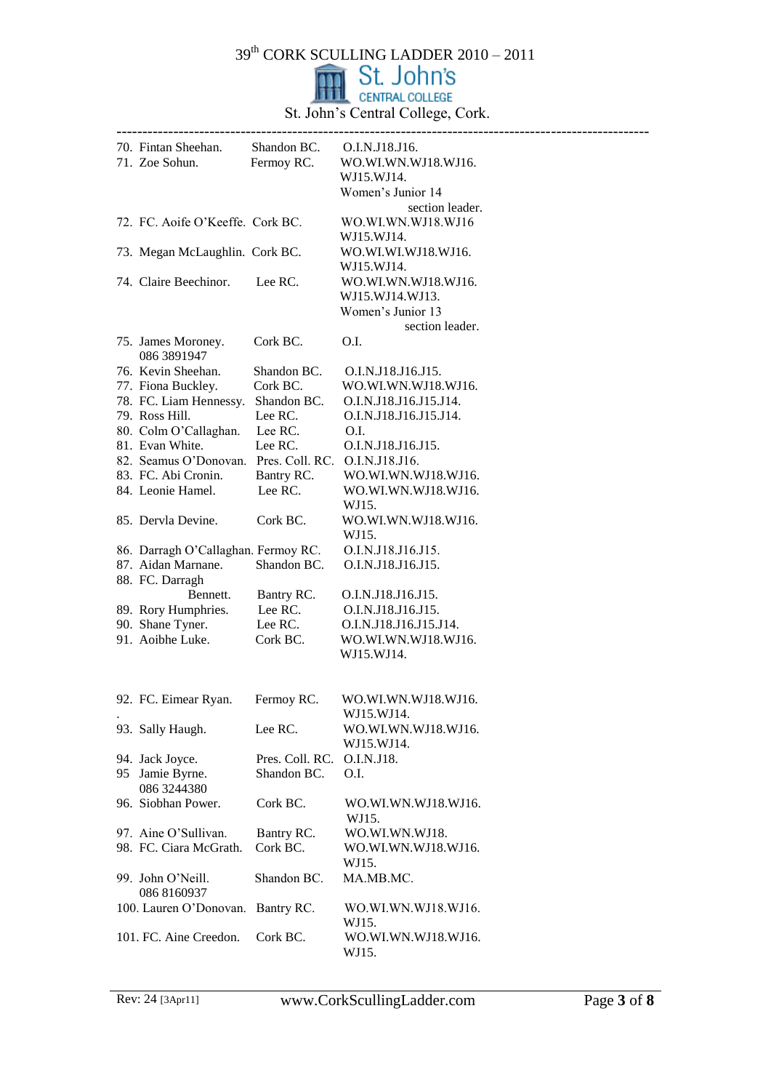

|     | 70. Fintan Sheehan.                                  | Shandon BC. O.I.N.J18.J16.     |                                            |
|-----|------------------------------------------------------|--------------------------------|--------------------------------------------|
|     | 71. Zoe Sohun.                                       | Fermoy RC.                     | WO.WI.WN.WJ18.WJ16.                        |
|     |                                                      |                                | WJ15.WJ14.                                 |
|     |                                                      |                                | Women's Junior 14                          |
|     |                                                      |                                | section leader.                            |
|     | 72. FC. Aoife O'Keeffe. Cork BC.                     |                                | WO.WI.WN.WJ18.WJ16                         |
|     |                                                      |                                | WJ15.WJ14.                                 |
|     | 73. Megan McLaughlin. Cork BC.                       |                                | WO.WI.WI.WJ18.WJ16.                        |
|     |                                                      |                                | WJ15.WJ14.                                 |
|     | 74. Claire Beechinor.                                | Lee RC.                        | WO.WI.WN.WJ18.WJ16.                        |
|     |                                                      |                                | WJ15.WJ14.WJ13.                            |
|     |                                                      |                                | Women's Junior 13                          |
|     |                                                      |                                | section leader.                            |
|     | 75. James Moroney.                                   | Cork BC.                       | O.I.                                       |
|     | 086 3891947                                          |                                |                                            |
|     | 76. Kevin Sheehan.                                   | Shandon BC.                    | O.I.N.J18.J16.J15.                         |
|     | 77. Fiona Buckley.                                   | Cork BC.                       | WO.WI.WN.WJ18.WJ16.                        |
|     | 78. FC. Liam Hennessy. Shandon BC.                   |                                | O.I.N.J18.J16.J15.J14.                     |
|     | 79. Ross Hill.                                       | Lee RC.                        | O.I.N.J18.J16.J15.J14.                     |
|     | 80. Colm O'Callaghan.                                | Lee RC.                        | O.I.                                       |
|     | 81. Evan White.                                      | Lee RC.                        | O.I.N.J18.J16.J15.                         |
|     | 82. Seamus O'Donovan. Pres. Coll. RC. O.I.N.J18.J16. |                                |                                            |
|     | 83. FC. Abi Cronin.<br>84. Leonie Hamel.             | Bantry RC.<br>Lee RC.          | WO.WI.WN.WJ18.WJ16.<br>WO.WI.WN.WJ18.WJ16. |
|     |                                                      |                                | WJ15.                                      |
|     | 85. Dervla Devine.                                   | Cork BC.                       | WO.WI.WN.WJ18.WJ16.                        |
|     |                                                      |                                | WJ15.                                      |
|     | 86. Darragh O'Callaghan. Fermoy RC.                  |                                | O.I.N.J18.J16.J15.                         |
|     | 87. Aidan Marnane.                                   | Shandon BC.                    | O.I.N.J18.J16.J15.                         |
|     | 88. FC. Darragh                                      |                                |                                            |
|     | Bennett.                                             | Bantry RC.                     | O.I.N.J18.J16.J15.                         |
|     | 89. Rory Humphries.                                  | Lee RC.                        | O.I.N.J18.J16.J15.                         |
|     | 90. Shane Tyner.                                     | Lee RC.                        | O.I.N.J18.J16.J15.J14.                     |
|     | 91. Aoibhe Luke.                                     | Cork BC.                       | WO.WI.WN.WJ18.WJ16.                        |
|     |                                                      |                                | WJ15.WJ14.                                 |
|     |                                                      |                                |                                            |
|     |                                                      |                                |                                            |
|     | 92. FC. Eimear Ryan.                                 | Fermoy RC.                     | WO.WI.WN.WJ18.WJ16.                        |
|     |                                                      |                                | WJ15.WJ14.                                 |
|     | 93. Sally Haugh.                                     | Lee RC.                        | WO.WI.WN.WJ18.WJ16.                        |
|     |                                                      |                                | WJ15.WJ14.                                 |
|     | 94. Jack Joyce.                                      | Pres. Coll. RC.<br>Shandon BC. | O.I.N.J18.<br>O.I.                         |
| 95. | Jamie Byrne.<br>086 3244380                          |                                |                                            |
|     | 96. Siobhan Power.                                   | Cork BC.                       | WO.WI.WN.WJ18.WJ16.                        |
|     |                                                      |                                | WJ15.                                      |
|     | 97. Aine O'Sullivan.                                 | Bantry RC.                     | WO.WI.WN.WJ18.                             |
|     | 98. FC. Ciara McGrath.                               | Cork BC.                       | WO.WI.WN.WJ18.WJ16.                        |
|     |                                                      |                                | WJ15.                                      |
|     | 99. John O'Neill.                                    | Shandon BC.                    | MA.MB.MC.                                  |
|     | 086 8160937                                          |                                |                                            |
|     | 100. Lauren O'Donovan. Bantry RC.                    |                                | WO.WI.WN.WJ18.WJ16.                        |
|     |                                                      |                                | WJ15.                                      |
|     | 101. FC. Aine Creedon.                               | Cork BC.                       | WO.WI.WN.WJ18.WJ16.                        |
|     |                                                      |                                | WJ15.                                      |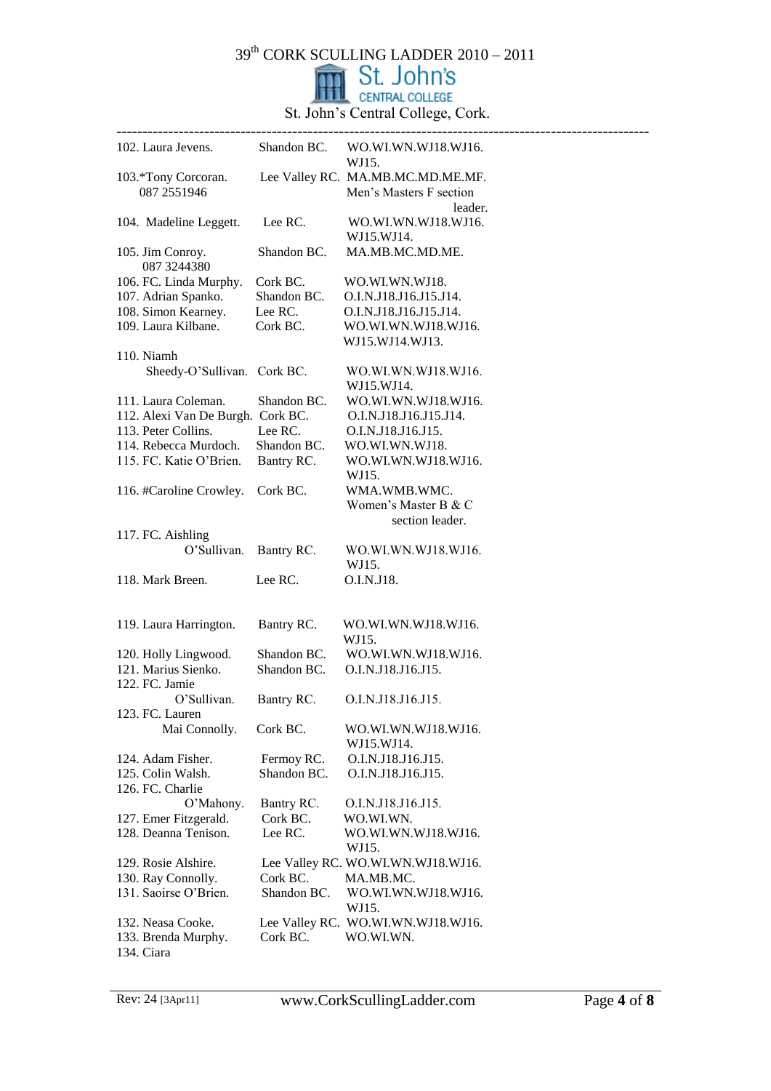

| 102. Laura Jevens.                |             | Shandon BC. WO.WI.WN.WJ18.WJ16.<br>WJ15. |
|-----------------------------------|-------------|------------------------------------------|
| 103.*Tony Corcoran.               |             | Lee Valley RC. MA.MB.MC.MD.ME.MF.        |
| 087 2551946                       |             | Men's Masters F section                  |
|                                   |             | leader.                                  |
| 104. Madeline Leggett.            | Lee RC.     | WO.WI.WN.WJ18.WJ16.                      |
|                                   |             | WJ15.WJ14.                               |
| 105. Jim Conroy.                  | Shandon BC. | MA.MB.MC.MD.ME.                          |
| 087 3244380                       |             |                                          |
| 106. FC. Linda Murphy.            | Cork BC.    | WO.WI.WN.WJ18.                           |
| 107. Adrian Spanko.               | Shandon BC. | O.I.N.J18.J16.J15.J14.                   |
| 108. Simon Kearney.               | Lee RC.     | O.I.N.J18.J16.J15.J14.                   |
| 109. Laura Kilbane.               | Cork BC.    | WO.WI.WN.WJ18.WJ16.                      |
|                                   |             | WJ15.WJ14.WJ13.                          |
| 110. Niamh                        |             |                                          |
| Sheedy-O'Sullivan. Cork BC.       |             | WO.WI.WN.WJ18.WJ16.                      |
|                                   |             | WJ15.WJ14.                               |
| 111. Laura Coleman.               | Shandon BC. | WO.WI.WN.WJ18.WJ16.                      |
| 112. Alexi Van De Burgh. Cork BC. |             | O.I.N.J18.J16.J15.J14.                   |
| 113. Peter Collins.               | Lee RC.     | O.I.N.J18.J16.J15.                       |
| 114. Rebecca Murdoch.             | Shandon BC. | WO.WI.WN.WJ18.                           |
| 115. FC. Katie O'Brien.           | Bantry RC.  | WO.WI.WN.WJ18.WJ16.                      |
|                                   |             | WJ15.                                    |
| 116. #Caroline Crowley.           | Cork BC.    | WMA.WMB.WMC.                             |
|                                   |             | Women's Master B & C                     |
|                                   |             | section leader.                          |
| 117. FC. Aishling                 |             |                                          |
| O'Sullivan.                       | Bantry RC.  | WO.WI.WN.WJ18.WJ16.                      |
|                                   |             | WJ15.                                    |
| 118. Mark Breen.                  | Lee RC.     | O.I.N.J18.                               |
|                                   |             |                                          |
|                                   |             |                                          |
| 119. Laura Harrington.            | Bantry RC.  | WO.WI.WN.WJ18.WJ16.                      |
|                                   |             | WJ15.                                    |
| 120. Holly Lingwood.              | Shandon BC. | WO.WI.WN.WJ18.WJ16.                      |
| 121. Marius Sienko.               | Shandon BC. | O.I.N.J18.J16.J15.                       |
| 122. FC. Jamie                    |             |                                          |
| O'Sullivan.                       | Bantry RC.  | O.I.N.J18.J16.J15.                       |
| 123. FC. Lauren                   |             |                                          |
| Mai Connolly.                     | Cork BC.    | WO.WI.WN.WJ18.WJ16.                      |
|                                   |             | WJ15.WJ14.                               |
| 124. Adam Fisher.                 | Fermoy RC.  | O.I.N.J18.J16.J15.                       |
| 125. Colin Walsh.                 | Shandon BC. | O.I.N.J18.J16.J15.                       |
| 126. FC. Charlie                  |             |                                          |
| O'Mahony.                         | Bantry RC.  | O.I.N.J18.J16.J15.                       |
| 127. Emer Fitzgerald.             | Cork BC.    | WO.WI.WN.                                |
| 128. Deanna Tenison.              | Lee RC.     | WO.WI.WN.WJ18.WJ16.                      |
|                                   |             | WJ15.                                    |
| 129. Rosie Alshire.               |             | Lee Valley RC. WO.WI.WN.WJ18.WJ16.       |
| 130. Ray Connolly.                | Cork BC.    | MA.MB.MC.                                |
| 131. Saoirse O'Brien.             | Shandon BC. | WO.WI.WN.WJ18.WJ16.                      |
|                                   |             | WJ15.                                    |
| 132. Neasa Cooke.                 |             | Lee Valley RC. WO.WI.WN.WJ18.WJ16.       |
| 133. Brenda Murphy.               | Cork BC.    | WO.WI.WN.                                |
| 134. Ciara                        |             |                                          |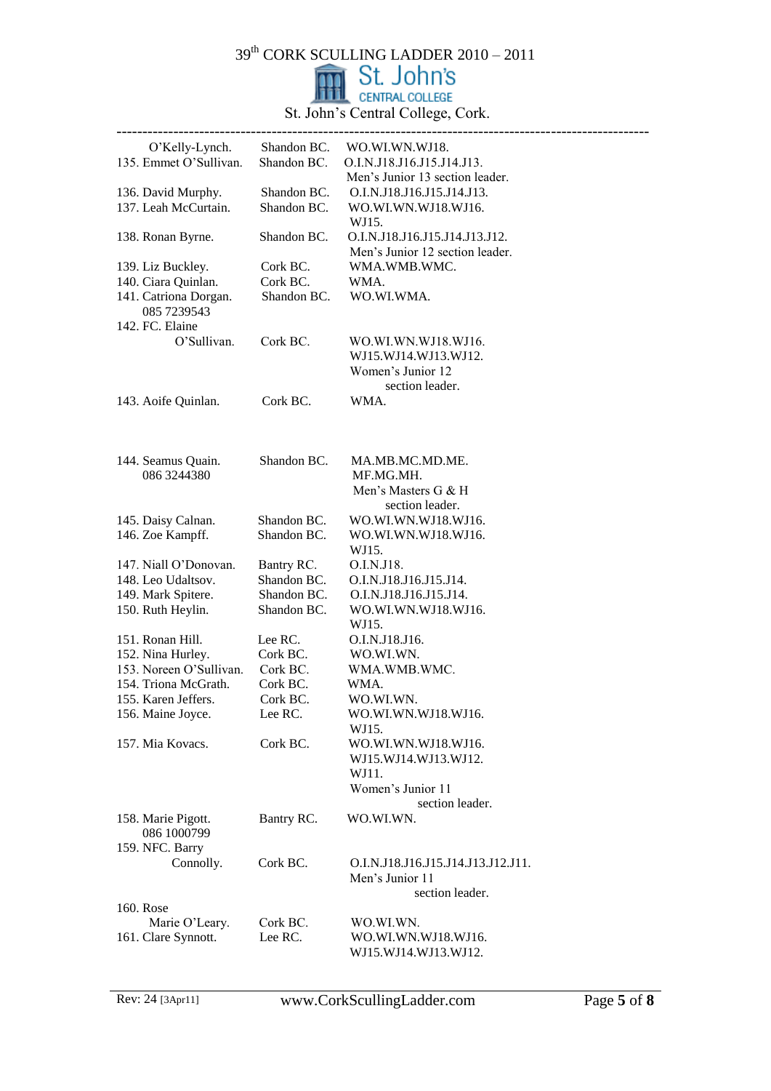

| O'Kelly-Lynch.                       | Shandon BC. | WO.WI.WN.WJ18.                                                    |
|--------------------------------------|-------------|-------------------------------------------------------------------|
| 135. Emmet O'Sullivan.               | Shandon BC. | O.I.N.J18.J16.J15.J14.J13.                                        |
|                                      |             | Men's Junior 13 section leader.                                   |
| 136. David Murphy.                   | Shandon BC. | O.I.N.J18.J16.J15.J14.J13.                                        |
| 137. Leah McCurtain.                 | Shandon BC. | WO.WI.WN.WJ18.WJ16.<br>WJ15.                                      |
| 138. Ronan Byrne.                    | Shandon BC. | O.I.N.J18.J16.J15.J14.J13.J12.<br>Men's Junior 12 section leader. |
| 139. Liz Buckley.                    | Cork BC.    | WMA.WMB.WMC.                                                      |
| 140. Ciara Quinlan.                  | Cork BC.    | WMA.                                                              |
| 141. Catriona Dorgan.<br>085 7239543 | Shandon BC. | WO.WI.WMA.                                                        |
| 142. FC. Elaine                      |             |                                                                   |
| O'Sullivan.                          | Cork BC.    | WO.WI.WN.WJ18.WJ16.                                               |
|                                      |             | WJ15.WJ14.WJ13.WJ12.                                              |
|                                      |             | Women's Junior 12                                                 |
|                                      |             | section leader.                                                   |
| 143. Aoife Quinlan.                  | Cork BC.    | WMA.                                                              |
|                                      |             |                                                                   |
| 144. Seamus Quain.                   | Shandon BC. | MA.MB.MC.MD.ME.                                                   |
| 086 3244380                          |             | MF.MG.MH.                                                         |
|                                      |             | Men's Masters G & H                                               |
|                                      |             | section leader.                                                   |
| 145. Daisy Calnan.                   | Shandon BC. | WO.WI.WN.WJ18.WJ16.                                               |
| 146. Zoe Kampff.                     | Shandon BC. | WO.WI.WN.WJ18.WJ16.                                               |
|                                      |             | WJ15.                                                             |
| 147. Niall O'Donovan.                | Bantry RC.  | O.I.N.J18.                                                        |
| 148. Leo Udaltsov.                   | Shandon BC. | O.I.N.J18.J16.J15.J14.                                            |
| 149. Mark Spitere.                   | Shandon BC. | O.I.N.J18.J16.J15.J14.                                            |
| 150. Ruth Heylin.                    | Shandon BC. | WO.WI.WN.WJ18.WJ16.                                               |
|                                      |             | WJ15.                                                             |
| 151. Ronan Hill.                     | Lee RC.     | O.I.N.J18.J16.                                                    |
| 152. Nina Hurley.                    | Cork BC.    | WO.WI.WN.                                                         |
| 153. Noreen O'Sullivan.              | Cork BC.    | WMA.WMB.WMC.                                                      |
| 154. Triona McGrath.                 | Cork BC.    | WMA.                                                              |
| 155. Karen Jeffers.                  | Cork BC.    | WO.WI.WN.                                                         |
| 156. Maine Joyce.                    | Lee RC.     | WO.WI.WN.WJ18.WJ16.                                               |
|                                      |             | WJ15.                                                             |
| 157. Mia Kovacs.                     | Cork BC.    | WO.WI.WN.WJ18.WJ16.                                               |
|                                      |             | WJ15.WJ14.WJ13.WJ12.                                              |
|                                      |             | WJ11.                                                             |
|                                      |             | Women's Junior 11                                                 |
|                                      |             | section leader.                                                   |
| 158. Marie Pigott.                   | Bantry RC.  | WO.WI.WN.                                                         |
| 086 1000799                          |             |                                                                   |
| 159. NFC. Barry                      |             |                                                                   |
| Connolly.                            | Cork BC.    | O.I.N.J18.J16.J15.J14.J13.J12.J11.                                |
|                                      |             | Men's Junior 11                                                   |
|                                      |             | section leader.                                                   |
| 160. Rose                            |             |                                                                   |
| Marie O'Leary.                       | Cork BC.    | WO.WI.WN.                                                         |
| 161. Clare Synnott.                  | Lee RC.     | WO.WI.WN.WJ18.WJ16.                                               |
|                                      |             | WJ15.WJ14.WJ13.WJ12.                                              |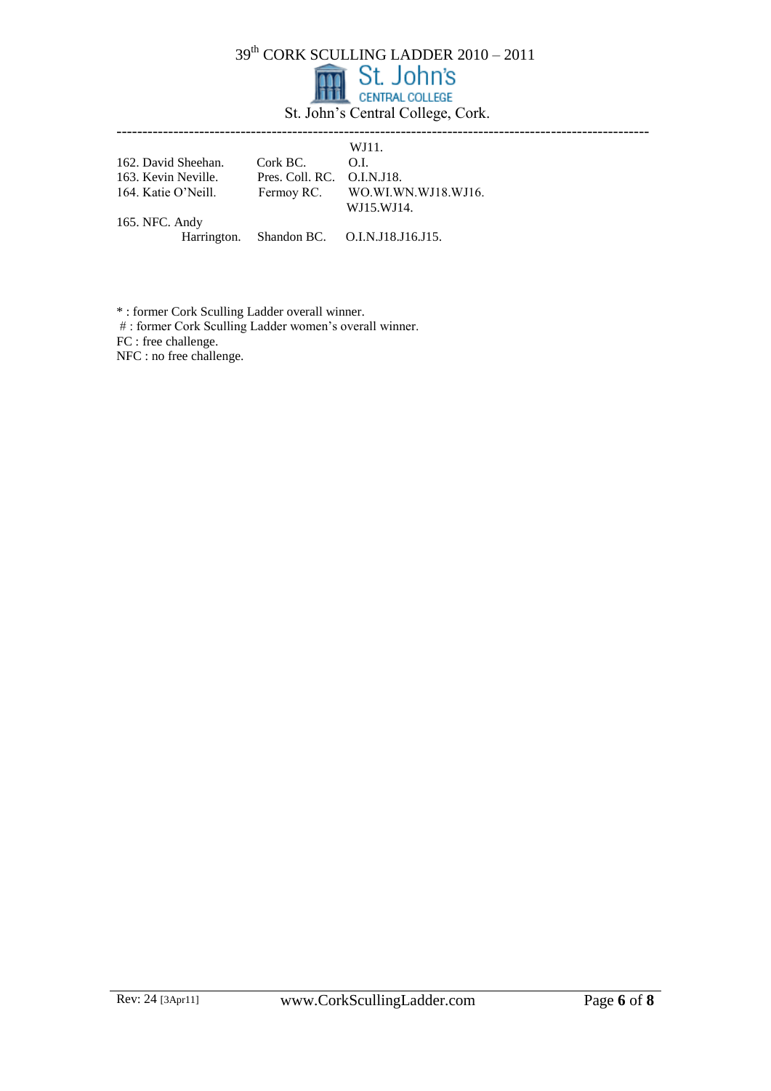|  | <b>m</b> St. John's               |
|--|-----------------------------------|
|  | <b>TTTL</b> CENTRAL COLLEGE       |
|  | St. John's Central College, Cork. |

|                     |                            | WJ11.                                      |
|---------------------|----------------------------|--------------------------------------------|
| 162. David Sheehan. | Cork BC.                   | O.L.                                       |
| 163. Kevin Neville. | Pres. Coll. RC. O.I.N.J18. |                                            |
| 164. Katie O'Neill. |                            | Fermoy RC. WO.WI.WN.WJ18.WJ16.             |
|                     |                            | WJ15.WJ14.                                 |
| 165. NFC. Andy      |                            |                                            |
|                     |                            | Harrington. Shandon BC. O.I.N.J18.J16.J15. |
|                     |                            |                                            |

\* : former Cork Sculling Ladder overall winner.

# : former Cork Sculling Ladder women's overall winner.

FC : free challenge.

NFC : no free challenge.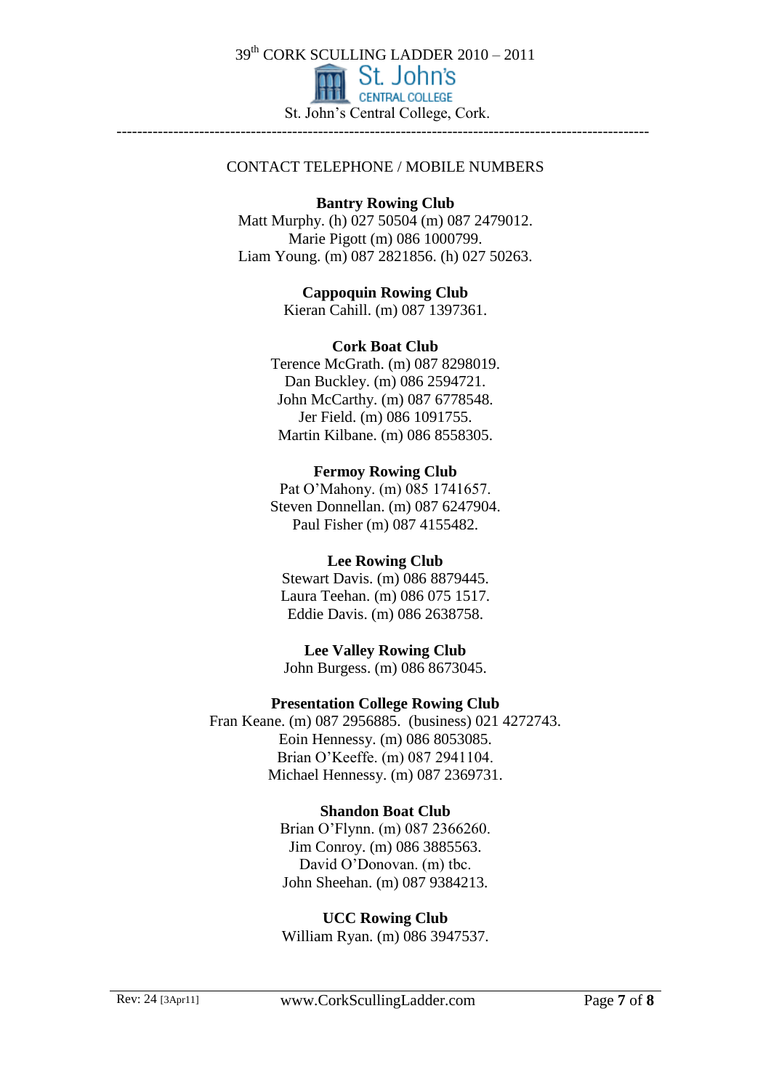

#### CONTACT TELEPHONE / MOBILE NUMBERS

#### **Bantry Rowing Club**

Matt Murphy. (h) 027 50504 (m) 087 2479012. Marie Pigott (m) 086 1000799. Liam Young. (m) 087 2821856. (h) 027 50263.

> **Cappoquin Rowing Club**  Kieran Cahill. (m) 087 1397361.

#### **Cork Boat Club**

Terence McGrath. (m) 087 8298019. Dan Buckley. (m) 086 2594721. John McCarthy. (m) 087 6778548. Jer Field. (m) 086 1091755. Martin Kilbane. (m) 086 8558305.

#### **Fermoy Rowing Club**

Pat O'Mahony. (m) 085 1741657. Steven Donnellan. (m) 087 6247904. Paul Fisher (m) 087 4155482.

### **Lee Rowing Club**

Stewart Davis. (m) 086 8879445. Laura Teehan. (m) 086 075 1517. Eddie Davis. (m) 086 2638758.

**Lee Valley Rowing Club**  John Burgess. (m) 086 8673045.

### **Presentation College Rowing Club**

Fran Keane. (m) 087 2956885. (business) 021 4272743. Eoin Hennessy. (m) 086 8053085. Brian O'Keeffe. (m) 087 2941104. Michael Hennessy. (m) 087 2369731.

### **Shandon Boat Club**

Brian O'Flynn. (m) 087 2366260. Jim Conroy. (m) 086 3885563. David O'Donovan. (m) tbc. John Sheehan. (m) 087 9384213.

**UCC Rowing Club**  William Ryan. (m) 086 3947537.